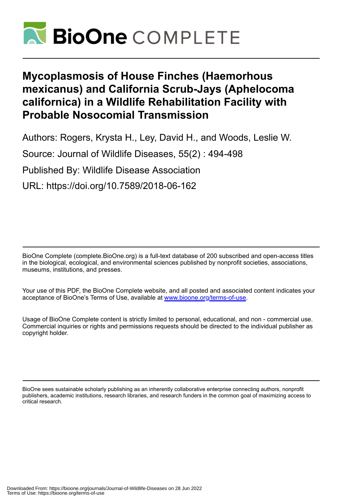

## **Mycoplasmosis of House Finches (Haemorhous mexicanus) and California Scrub-Jays (Aphelocoma californica) in a Wildlife Rehabilitation Facility with Probable Nosocomial Transmission**

Authors: Rogers, Krysta H., Ley, David H., and Woods, Leslie W. Source: Journal of Wildlife Diseases, 55(2) : 494-498 Published By: Wildlife Disease Association URL: https://doi.org/10.7589/2018-06-162

BioOne Complete (complete.BioOne.org) is a full-text database of 200 subscribed and open-access titles in the biological, ecological, and environmental sciences published by nonprofit societies, associations, museums, institutions, and presses.

Your use of this PDF, the BioOne Complete website, and all posted and associated content indicates your acceptance of BioOne's Terms of Use, available at www.bioone.org/terms-of-use.

Usage of BioOne Complete content is strictly limited to personal, educational, and non - commercial use. Commercial inquiries or rights and permissions requests should be directed to the individual publisher as copyright holder.

BioOne sees sustainable scholarly publishing as an inherently collaborative enterprise connecting authors, nonprofit publishers, academic institutions, research libraries, and research funders in the common goal of maximizing access to critical research.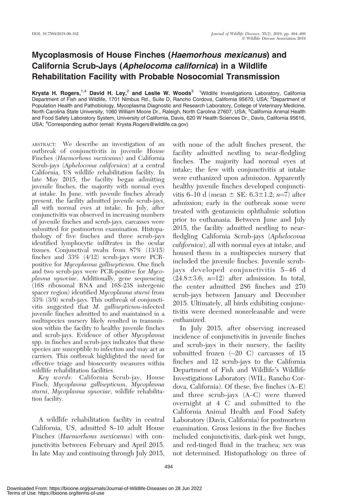## Mycoplasmosis of House Finches (Haemorhous mexicanus) and California Scrub-Jays (Aphelocoma californica) in a Wildlife Rehabilitation Facility with Probable Nosocomial Transmission

Krysta H. Rogers,<sup>1,4</sup> David H. Ley,<sup>2</sup> and Leslie W. Woods<sup>3</sup> <sup>1</sup>Wildlife Investigations Laboratory, California Department of Fish and Wildlife, 1701 Nimbus Rd., Suite D, Rancho Cordova, California 95670, USA; <sup>2</sup>Department of Population Health and Pathobiology, Mycoplasma Diagnostic and Research Laboratory, College of Veterinary Medicine, North Carolina State University, 1060 William Moore Dr., Raleigh, North Carolina 27607, USA; <sup>3</sup> California Animal Health and Food Safety Laboratory System, University of California, Davis, 620 W Health Sciences Dr., Davis, California 95616, USA; <sup>4</sup>Corresponding author (email: Krysta.Rogers@wildlife.ca.gov)

ABSTRACT: We describe an investigation of an outbreak of conjunctivitis in juvenile House Finches (Haemorhous mexicanus) and California Scrub-jays (Aphelocoma californica) at a central California, US wildlife rehabilitation facility. In late May 2015, the facility began admitting juvenile finches, the majority with normal eyes at intake. In June, with juvenile finches already present, the facility admitted juvenile scrub-jays, all with normal eyes at intake. In July, after conjunctivitis was observed in increasing numbers of juvenile finches and scrub-jays, carcasses were submitted for postmortem examination. Histopathology of five finches and three scrub-jays identified lymphocytic infiltrates in the ocular tissues. Conjunctival swabs from 87% (13/15) finches and 33% (4/12) scrub-jays were PCRpositive for Mycoplasma gallisepticum. One finch and two scrub-jays were PCR-positive for Mycoplasma synoviae. Additionally, gene sequencing (16S ribosomal RNA and 16S-23S intergenic spacer region) identified Mycoplasma sturni from 33% (3/9) scrub-jays. This outbreak of conjunctivitis suggested that M. gallisepticum-infected juvenile finches admitted to and maintained in a multispecies nursery likely resulted in transmission within the facility to healthy juvenile finches and scrub-jays. Evidence of other Mycoplasma spp. in finches and scrub-jays indicates that these species are susceptible to infection and may act as carriers. This outbreak highlighted the need for effective triage and biosecurity measures within wildlife rehabilitation facilities.

Key words: California Scrub-jay, House Finch, Mycoplasma gallisepticum, Mycoplasma sturni, Mycoplasma synoviae, wildlife rehabilitation facility.

A wildlife rehabilitation facility in central California, US, admitted 8–10 adult House Finches (Haemorhous mexicanus) with conjunctivitis between February and April 2015. In late May and continuing through July 2015, with none of the adult finches present, the facility admitted nestling to near-fledgling finches. The majority had normal eyes at intake; the few with conjunctivitis at intake were euthanized upon admission. Apparently healthy juvenile finches developed conjunctivitis 6–10 d (mean  $\pm$  SE: 6.3 $\pm$ 1.2; n=7) after admission; early in the outbreak some were treated with gentamicin ophthalmic solution prior to euthanasia. Between June and July 2015, the facility admitted nestling to nearfledgling California Scrub-jays (Aphelocoma californica), all with normal eyes at intake, and housed them in a multispecies nursery that included the juvenile finches. Juvenile scrubjays developed conjunctivitis 5–46 d  $(24.8\pm3.6; n=12)$  after admission. In total, the center admitted 286 finches and 270 scrub-jays between January and December 2015. Ultimately, all birds exhibiting conjunctivitis were deemed nonreleasable and were euthanized.

In July 2015, after observing increased incidence of conjunctivitis in juvenile finches and scrub-jays in their nursery, the facility submitted frozen  $(-20)$  C carcasses of 15 finches and 12 scrub-jays to the California Department of Fish and Wildlife's Wildlife Investigations Laboratory (WIL; Rancho Cordova, California). Of these, five finches (A–E) and three scrub-jays (A–C) were thawed overnight at 4 C and submitted to the California Animal Health and Food Safety Laboratory (Davis, California) for postmortem examination. Gross lesions in the five finches included conjunctivitis, dark-pink wet lungs, and red-tinged fluid in the trachea; sex was not determined. Histopathology on three of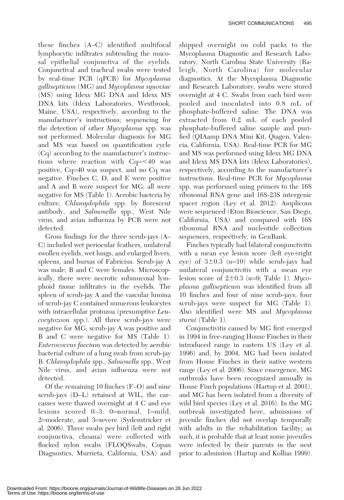these finches (A–C) identified multifocal lymphocytic infiltrates subtending the mucosal epithelial conjunctiva of the eyelids. Conjunctival and tracheal swabs were tested by real-time PCR (qPCR) for Mycoplasma gallisepticum (MG) and Mycoplasma synoviae (MS) using Idexx MG DNA and Idexx MS DNA kits (Idexx Laboratories, Westbrook, Maine, USA), respectively, according to the manufacturer's instructions; sequencing for the detection of other *Mycoplasma* spp. was not performed. Molecular diagnosis for MG and MS was based on quantification cycle (Cq) according to the manufacturer's instructions where reaction with  $Cq = \leq 40$  was positive,  $Cq=40$  was suspect, and no  $Cq$  was negative. Finches C, D, and E were positive and A and B were suspect for MG; all were negative for MS (Table 1). Aerobic bacteria by culture, Chlamydophila spp. by florescent antibody, and Salmonella spp., West Nile virus, and avian influenza by PCR were not detected.

Gross findings for the three scrub-jays (A– C) included wet periocular feathers, unilateral swollen eyelids, wet lungs, and enlarged livers, spleens, and bursas of Fabricius. Scrub-jay A was male; B and C were females. Microscopically, there were necrotic submucosal lymphoid tissue infiltrates in the eyelids. The spleen of scrub-jay A and the vascular lumina of scrub-jay C contained numerous leukocytes with intracellular protozoa (presumptive Leucocytozoon spp.). All three scrub-jays were negative for MG; scrub-jay A was positive and B and C were negative for MS (Table 1). Enterococcus faecium was detected by aerobic bacterial culture of a lung swab from scrub-jay B. Chlamydophila spp., Salmonella spp., West Nile virus, and avian influenza were not detected.

Of the remaining 10 finches (F–O) and nine scrub-jays (D–L) retained at WIL, the carcasses were thawed overnight at 4 C and eye lesions scored  $0-3$ :  $0=$ normal, 1=mild, 2=moderate, and 3=severe (Sydenstricker et al. 2006). Three swabs per bird (left and right conjunctiva, choana) were collected with flocked nylon swabs (FLOQSwabs, Copan Diagnostics, Murrieta, California, USA) and

shipped overnight on cold packs to the Mycoplasma Diagnostic and Research Laboratory, North Carolina State University (Raleigh, North Carolina) for molecular diagnostics. At the Mycoplasma Diagnostic and Research Laboratory, swabs were stored overnight at 4 C. Swabs from each bird were pooled and inoculated into 0.8 mL of phosphate-buffered saline. The DNA was extracted from 0.2 mL of each pooled phosphate-buffered saline sample and purified (QIAamp DNA Mini Kit, Qiagen, Valencia, California, USA). Real-time PCR for MG and MS was performed using Idexx MG DNA and Idexx MS DNA kits (Idexx Laboratories), respectively, according to the manufacturer's instructions. Real-time PCR for Mycoplasma spp. was performed using primers to the 16S ribosomal RNA gene and 16S-23S intergenic spacer region (Ley et al. 2012). Amplicons were sequenced (Eton Bioscience, San Diego, California, USA) and compared with 16S ribosomal RNA and nucleotide collection sequences, respectively, in GenBank.

Finches typically had bilateral conjunctivitis with a mean eye lesion score (left eye+right eye) of  $3\pm0.3$  (n=10) while scrub-jays had unilateral conjunctivitis with a mean eye lesion score of  $2\pm 0.3$  (n=9; Table 1). Mycoplasma gallisepticum was identified from all 10 finches and four of nine scrub-jays; four scrub-jays were suspect for MG (Table 1). Also identified were MS and Mycoplasma sturni (Table 1).

Conjunctivitis caused by MG first emerged in 1994 in free-ranging House Finches in their introduced range in eastern US (Ley et al. 1996) and, by 2004, MG had been isolated from House Finches in their native western range (Ley et al. 2006). Since emergence, MG outbreaks have been recognized annually in House Finch populations (Hartup et al. 2001), and MG has been isolated from a diversity of wild bird species (Ley et al. 2016). In the MG outbreak investigated here, admissions of juvenile finches did not overlap temporally with adults in the rehabilitation facility; as such, it is probable that at least some juveniles were infected by their parents in the nest prior to admission (Hartup and Kollias 1999).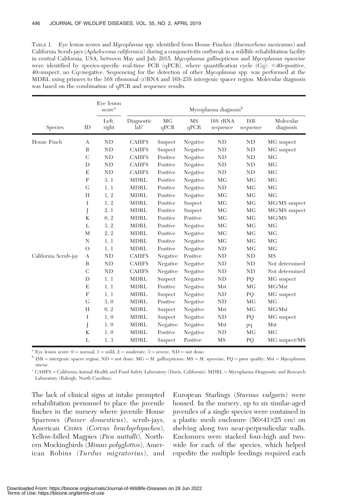TABLE 1. Eye lesion scores and Mycoplasma spp. identified from House Finches (Haemorhous mexicanus) and California Scrub-jays (Aphelocoma californica) during a conjunctivitis outbreak in a wildlife rehabilitation facility in central California, USA, between May and July 2015. Mycoplasma gallisepticum and Mycoplasma synoviae were identified by species-specific real-time PCR (qPCR), where quantification cycle  $(Cq)$ : <40=positive, 40 suspect, no Cq=negative. Sequencing for the detection of other *Mycoplasma* spp. was performed at the MDRL using primers to the 16S ribosomal (r)RNA and 16S-23S intergenic spacer region. Molecular diagnosis was based on the combination of qPCR and sequence results.

| Species              | ID             | Eye lesion<br>score <sup>a</sup><br>Left,<br>right | Mycoplasma diagnosis <sup>b</sup> |                   |                   |                      |                        |                        |
|----------------------|----------------|----------------------------------------------------|-----------------------------------|-------------------|-------------------|----------------------|------------------------|------------------------|
|                      |                |                                                    | Diagnostic<br>lab <sup>c</sup>    | <b>MG</b><br>qPCR | <b>MS</b><br>qPCR | 16S rRNA<br>sequence | <b>ISR</b><br>sequence | Molecular<br>diagnosis |
| House Finch          | A              | ND                                                 | <b>CAHFS</b>                      | Suspect           | Negative          | <b>ND</b>            | ND                     | MG suspect             |
|                      | B              | ND                                                 | <b>CAHFS</b>                      | Suspect           | Negative          | ND                   | ND                     | MG suspect             |
|                      | $\mathcal{C}$  | ND                                                 | <b>CAHFS</b>                      | Positive          | Negative          | ND                   | <b>ND</b>              | MG                     |
|                      | D              | ND                                                 | <b>CAHFS</b>                      | Positive          | Negative          | ND                   | ND                     | <b>MG</b>              |
|                      | E              | ND                                                 | <b>CAHFS</b>                      | Positive          | Negative          | <b>ND</b>            | ND                     | MG                     |
|                      | F              | 3, 1                                               | <b>MDRL</b>                       | Positive          | Negative          | MG                   | MG                     | M <sub>G</sub>         |
|                      | G              | 1, 1                                               | MDRL                              | Positive          | Negative          | ND                   | МG                     | MG                     |
|                      | H              | 1, 2                                               | <b>MDRL</b>                       | Positive          | Negative          | MG                   | MG                     | M <sub>G</sub>         |
|                      | I              | 1, 2                                               | <b>MDRL</b>                       | Positive          | Suspect           | MG                   | MG                     | MG/MS suspect          |
|                      | J              | 2, 1                                               | MDRL                              | Positive          | Suspect           | MG                   | MG                     | MG/MS suspect          |
|                      | K              | 0, 2                                               | <b>MDRL</b>                       | Positive          | Positive          | MG                   | MG                     | MG/MS                  |
|                      | L              | 3, 2                                               | <b>MDRL</b>                       | Positive          | Negative          | MG                   | MG                     | MG                     |
|                      | $\mathbf M$    | 2, 2                                               | <b>MDRL</b>                       | Positive          | Negative          | MG                   | MG                     | M <sub>G</sub>         |
|                      | N              | 1, 1                                               | MDRL                              | Positive          | Negative          | MG                   | MG                     | MG                     |
|                      | $\Omega$       | 1, 1                                               | MDRL                              | Positive          | Negative          | ND                   | MG                     | MG                     |
| California Scrub-jay | A              | ND                                                 | <b>CAHFS</b>                      | Negative          | Positive          | <b>ND</b>            | <b>ND</b>              | MS                     |
|                      | B              | ND                                                 | <b>CAHFS</b>                      | Negative          | Negative          | ND                   | ND                     | Not determined         |
|                      | $\overline{C}$ | <b>ND</b>                                          | <b>CAHFS</b>                      | Negative          | Negative          | <b>ND</b>            | ND                     | Not determined         |
|                      | D              | 1, 1                                               | MDRL                              | Suspect           | Negative          | <b>ND</b>            | PQ                     | MG suspect             |
|                      | E              | 1, 1                                               | MDRL                              | Positive          | Negative          | Mst                  | <b>MG</b>              | MG/Mst                 |
|                      | F              | 1, 1                                               | <b>MDRL</b>                       | Suspect           | Negative          | ND                   | PQ                     | MG suspect             |
|                      | G              | 3, 0                                               | <b>MDRL</b>                       | Positive          | Negative          | <b>ND</b>            | <b>MG</b>              | MG                     |
|                      | H              | 0, 2                                               | MDRL                              | Suspect           | Negative          | Mst                  | MG                     | MG/Mst                 |
|                      | I              | 1, 0                                               | <b>MDRL</b>                       | Suspect           | Negative          | <b>ND</b>            | PQ                     | MG suspect             |
|                      | J              | 1, 0                                               | <b>MDRL</b>                       | Negative          | Negative          | Mst                  | pq                     | Mst                    |
|                      | K              | 1, 0                                               | <b>MDRL</b>                       | Positive          | Negative          | <b>ND</b>            | МG                     | <b>MG</b>              |
|                      | L              | 1, 3                                               | MDRL                              | Suspect           | Positive          | MS                   | PQ                     | MG suspect/MS          |

<sup>a</sup> Eye lesion score:  $0 =$  normal;  $1 =$  mild;  $2 =$  moderate;  $3 =$  severe; ND = not done.

 $b$  ISR = intergenic spacer region; ND = not done; MG = M. gallisepticum; MS = M. synoviae; PQ = poor quality; Mst = Mycoplasma sturni.

<sup>c</sup> CAHFS = California Animal Health and Food Safety Laboratory (Davis, California); MDRL = Mycoplasma Diagnostic and Research Laboratory (Raleigh, North Carolina).

The lack of clinical signs at intake prompted rehabilitation personnel to place the juvenile finches in the nursery where juvenile House Sparrows (Passer domesticus), scrub-jays, American Crows (Corvus brachyrhynchos), Yellow-billed Magpies (Pica nuttalli), Northern Mockingbirds (Mimus polyglottos), American Robins (Turdus migratorius), and

European Starlings (Sturnus vulgaris) were housed. In the nursery, up to six similar-aged juveniles of a single species were contained in a plastic mesh enclosure  $(56\times41\times25$  cm) on shelving along two near-perpendicular walls. Enclosures were stacked four-high and twowide for each of the species, which helped expedite the multiple feedings required each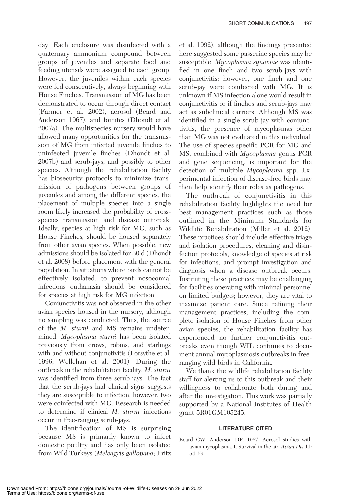day. Each enclosure was disinfected with a quaternary ammonium compound between groups of juveniles and separate food and feeding utensils were assigned to each group. However, the juveniles within each species were fed consecutively, always beginning with House Finches. Transmission of MG has been demonstrated to occur through direct contact (Farmer et al. 2002), aerosol (Beard and Anderson 1967), and fomites (Dhondt et al. 2007a). The multispecies nursery would have allowed many opportunities for the transmission of MG from infected juvenile finches to uninfected juvenile finches (Dhondt et al. 2007b) and scrub-jays, and possibly to other species. Although the rehabilitation facility has biosecurity protocols to minimize transmission of pathogens between groups of juveniles and among the different species, the placement of multiple species into a single room likely increased the probability of crossspecies transmission and disease outbreak. Ideally, species at high risk for MG, such as House Finches, should be housed separately from other avian species. When possible, new admissions should be isolated for 30 d (Dhondt et al. 2008) before placement with the general population. In situations where birds cannot be effectively isolated, to prevent nosocomial infections euthanasia should be considered for species at high risk for MG infection.

Conjunctivitis was not observed in the other avian species housed in the nursery, although no sampling was conducted. Thus, the source of the M. sturni and MS remains undetermined. Mycoplasma sturni has been isolated previously from crows, robins, and starlings with and without conjunctivitis (Forsythe et al. 1996; Wellehan et al. 2001). During the outbreak in the rehabilitation facility, M. sturni was identified from three scrub-jays. The fact that the scrub-jays had clinical signs suggests they are susceptible to infection; however, two were coinfected with MG. Research is needed to determine if clinical M. sturni infections occur in free-ranging scrub-jays.

The identification of MS is surprising because MS is primarily known to infect domestic poultry and has only been isolated from Wild Turkeys (Meleagris gallopavo; Fritz et al. 1992), although the findings presented here suggested some passerine species may be susceptible. Mycoplasma synoviae was identified in one finch and two scrub-jays with conjunctivitis; however, one finch and one scrub-jay were coinfected with MG. It is unknown if MS infection alone would result in conjunctivitis or if finches and scrub-jays may act as subclinical carriers. Although MS was identified in a single scrub-jay with conjunctivitis, the presence of mycoplasmas other than MG was not evaluated in this individual. The use of species-specific PCR for MG and MS, combined with Mycoplasma genus PCR and gene sequencing, is important for the detection of multiple Mycoplasma spp. Experimental infection of disease-free birds may then help identify their roles as pathogens.

The outbreak of conjunctivitis in this rehabilitation facility highlights the need for best management practices such as those outlined in the Minimum Standards for Wildlife Rehabilitation (Miller et al. 2012). These practices should include effective triage and isolation procedures, cleaning and disinfection protocols, knowledge of species at risk for infections, and prompt investigation and diagnosis when a disease outbreak occurs. Instituting these practices may be challenging for facilities operating with minimal personnel on limited budgets; however, they are vital to maximize patient care. Since refining their management practices, including the complete isolation of House Finches from other avian species, the rehabilitation facility has experienced no further conjunctivitis outbreaks even though WIL continues to document annual mycoplasmosis outbreaks in freeranging wild birds in California.

We thank the wildlife rehabilitation facility staff for alerting us to this outbreak and their willingness to collaborate both during and after the investigation. This work was partially supported by a National Institutes of Health grant 5R01GM105245.

## LITERATURE CITED

Beard CW, Anderson DP. 1967. Aerosol studies with avian mycoplasma. I. Survival in the air. Avian Dis 11: 54–59.